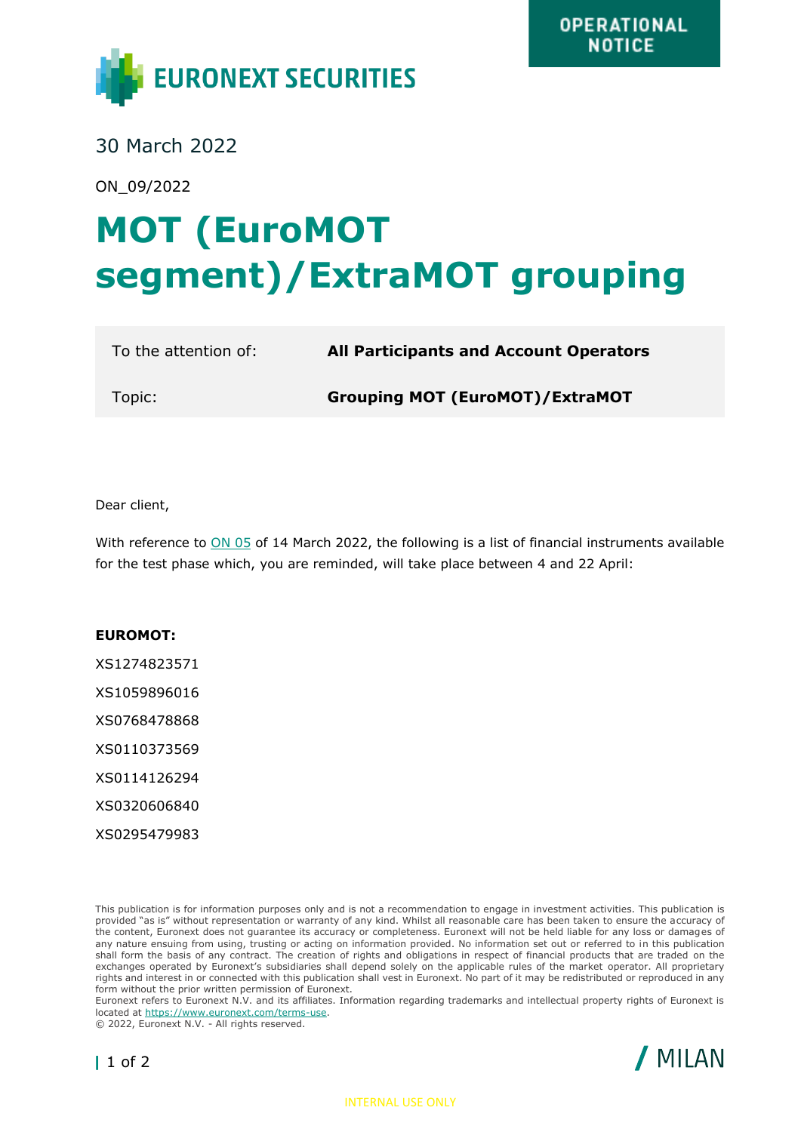

30 March 2022

ON\_09/2022

## **MOT (EuroMOT segment)/ExtraMOT grouping**

| To the attention of: | <b>All Participants and Account Operators</b> |
|----------------------|-----------------------------------------------|
| Topic:               | <b>Grouping MOT (EuroMOT)/ExtraMOT</b>        |

Dear client,

With reference to [ON 05](file:///C:/Users/CMarano/Downloads/1402720v-EN-lf-ON%20grouping%20EuroMOT-ExtraMOT%20(002)%20(1).pdf) of 14 March 2022, the following is a list of financial instruments available for the test phase which, you are reminded, will take place between 4 and 22 April:

## **EUROMOT:**

XS1274823571 XS1059896016 XS0768478868 XS0110373569 XS0114126294 XS0320606840

XS0295479983

This publication is for information purposes only and is not a recommendation to engage in investment activities. This publication is provided "as is" without representation or warranty of any kind. Whilst all reasonable care has been taken to ensure the accuracy of the content, Euronext does not guarantee its accuracy or completeness. Euronext will not be held liable for any loss or damages of any nature ensuing from using, trusting or acting on information provided. No information set out or referred to in this publication shall form the basis of any contract. The creation of rights and obligations in respect of financial products that are traded on the exchanges operated by Euronext's subsidiaries shall depend solely on the applicable rules of the market operator. All proprietary rights and interest in or connected with this publication shall vest in Euronext. No part of it may be redistributed or reproduced in any form without the prior written permission of Euronext.

Euronext refers to Euronext N.V. and its affiliates. Information regarding trademarks and intellectual property rights of Euronext is located at [https://www.euronext.com/terms-use.](https://www.euronext.com/terms-use)

© 2022, Euronext N.V. - All rights reserved.